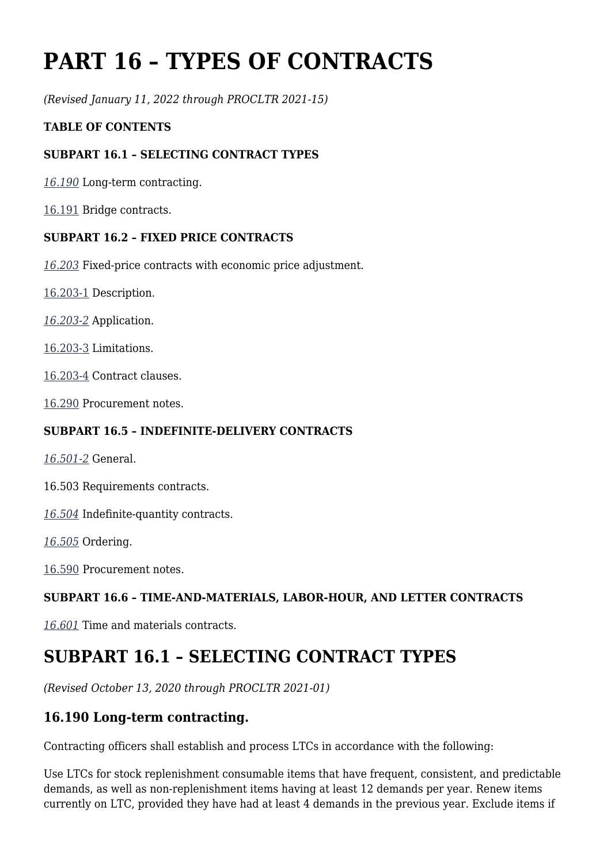# **PART 16 – TYPES OF CONTRACTS**

*(Revised January 11, 2022 through PROCLTR 2021-15)*

#### **TABLE OF CONTENTS**

#### **SUBPART 16.1 – SELECTING CONTRACT TYPES**

*[16.190](https://www.acquisition.gov/%5Brp:link:dlad-part-16%5D#P16_190)* Long-term contracting.

[16.191](https://www.acquisition.gov/%5Brp:link:dlad-part-16%5D#P16_191) Bridge contracts.

#### **SUBPART 16.2 – FIXED PRICE CONTRACTS**

*[16.203](https://www.acquisition.gov/%5Brp:link:dlad-part-16%5D#P16_203)* Fixed‑price contracts with economic price adjustment.

[16.203-1](https://www.acquisition.gov/%5Brp:link:dlad-part-16%5D#P16_203_1) Description.

*[16.203‑2](https://www.acquisition.gov/%5Brp:link:dlad-part-16%5D#P16_203_2)* Application.

[16.203-3](https://www.acquisition.gov/%5Brp:link:dlad-part-16%5D#P16_203_3) Limitations.

[16.203-4](https://www.acquisition.gov/%5Brp:link:dlad-part-16%5D#P16_203_4) Contract clauses.

[16.290](https://www.acquisition.gov/%5Brp:link:dlad-part-16%5D#P16_290) Procurement notes.

#### **SUBPART 16.5 – INDEFINITE‑DELIVERY CONTRACTS**

- *[16.501-2](https://www.acquisition.gov/%5Brp:link:dlad-part-16%5D#P16_501_2)* General.
- 16.503 Requirements contracts.
- [16.504](https://www.acquisition.gov/%5Brp:link:dlad-part-16%5D#P16_504) Indefinite-quantity contracts.

*[16.505](https://www.acquisition.gov/%5Brp:link:dlad-part-16%5D#P16_505)* Ordering.

[16.590](https://www.acquisition.gov/%5Brp:link:dlad-part-16%5D#P16_590) Procurement notes.

#### **SUBPART 16.6 – TIME‑AND‑MATERIALS, LABOR-HOUR, AND LETTER CONTRACTS**

*[16.601](https://www.acquisition.gov/%5Brp:link:dlad-part-16%5D#P16_601)* Time and materials contracts.

## **SUBPART 16.1 – SELECTING CONTRACT TYPES**

*(Revised October 13, 2020 through PROCLTR 2021-01)*

### **16.190 Long-term contracting.**

Contracting officers shall establish and process LTCs in accordance with the following:

Use LTCs for stock replenishment consumable items that have frequent, consistent, and predictable demands, as well as non-replenishment items having at least 12 demands per year. Renew items currently on LTC, provided they have had at least 4 demands in the previous year. Exclude items if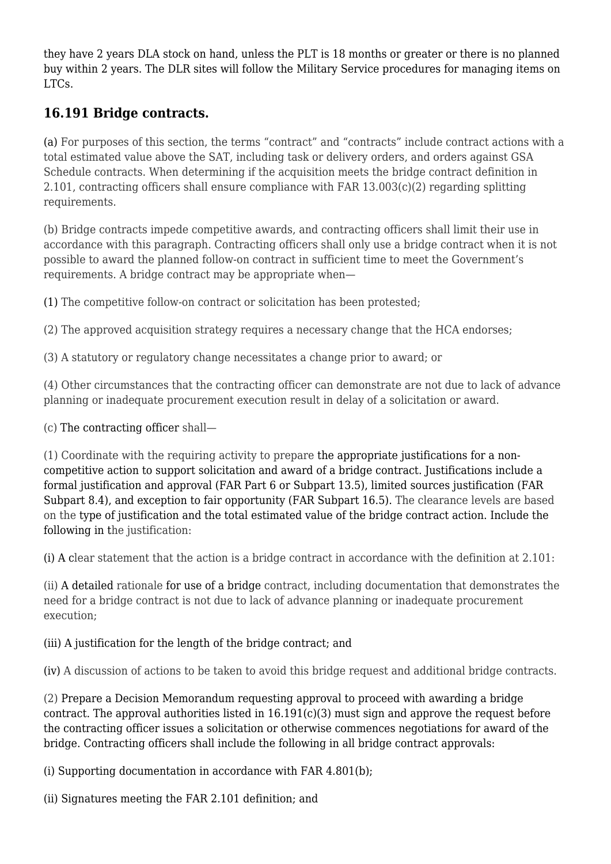they have 2 years DLA stock on hand, unless the PLT is 18 months or greater or there is no planned buy within 2 years. The DLR sites will follow the Military Service procedures for managing items on LTCs.

### **16.191 Bridge contracts.**

(a) For purposes of this section, the terms "contract" and "contracts" include contract actions with a total estimated value above the SAT, including task or delivery orders, and orders against GSA Schedule contracts. When determining if the acquisition meets the bridge contract definition in 2.101, contracting officers shall ensure compliance with FAR 13.003(c)(2) regarding splitting requirements.

(b) Bridge contracts impede competitive awards, and contracting officers shall limit their use in accordance with this paragraph. Contracting officers shall only use a bridge contract when it is not possible to award the planned follow-on contract in sufficient time to meet the Government's requirements. A bridge contract may be appropriate when—

(1) The competitive follow-on contract or solicitation has been protested;

(2) The approved acquisition strategy requires a necessary change that the HCA endorses;

(3) A statutory or regulatory change necessitates a change prior to award; or

(4) Other circumstances that the contracting officer can demonstrate are not due to lack of advance planning or inadequate procurement execution result in delay of a solicitation or award.

#### (c) The contracting officer shall—

(1) Coordinate with the requiring activity to prepare the appropriate justifications for a noncompetitive action to support solicitation and award of a bridge contract. Justifications include a formal justification and approval (FAR Part 6 or Subpart 13.5), limited sources justification (FAR Subpart 8.4), and exception to fair opportunity (FAR Subpart 16.5). The clearance levels are based on the type of justification and the total estimated value of the bridge contract action. Include the following in the justification:

(i) A clear statement that the action is a bridge contract in accordance with the definition at 2.101:

(ii) A detailed rationale for use of a bridge contract, including documentation that demonstrates the need for a bridge contract is not due to lack of advance planning or inadequate procurement execution;

(iii) A justification for the length of the bridge contract; and

(iv) A discussion of actions to be taken to avoid this bridge request and additional bridge contracts.

(2) Prepare a Decision Memorandum requesting approval to proceed with awarding a bridge contract. The approval authorities listed in 16.191(c)(3) must sign and approve the request before the contracting officer issues a solicitation or otherwise commences negotiations for award of the bridge. Contracting officers shall include the following in all bridge contract approvals:

(i) Supporting documentation in accordance with FAR 4.801(b);

(ii) Signatures meeting the FAR 2.101 definition; and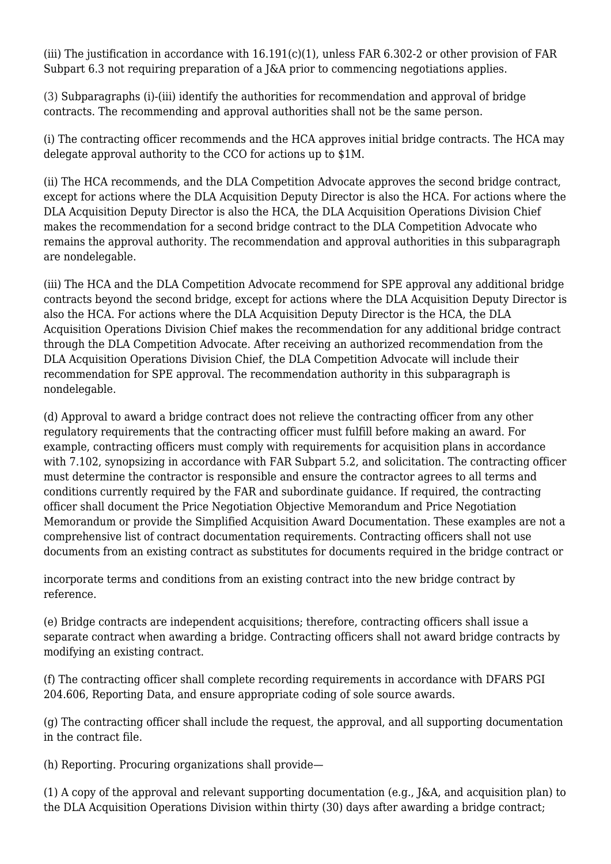(iii) The justification in accordance with  $16.191(c)(1)$ , unless FAR 6.302-2 or other provision of FAR Subpart 6.3 not requiring preparation of a J&A prior to commencing negotiations applies.

(3) Subparagraphs (i)-(iii) identify the authorities for recommendation and approval of bridge contracts. The recommending and approval authorities shall not be the same person.

(i) The contracting officer recommends and the HCA approves initial bridge contracts. The HCA may delegate approval authority to the CCO for actions up to \$1M.

(ii) The HCA recommends, and the DLA Competition Advocate approves the second bridge contract, except for actions where the DLA Acquisition Deputy Director is also the HCA. For actions where the DLA Acquisition Deputy Director is also the HCA, the DLA Acquisition Operations Division Chief makes the recommendation for a second bridge contract to the DLA Competition Advocate who remains the approval authority. The recommendation and approval authorities in this subparagraph are nondelegable.

(iii) The HCA and the DLA Competition Advocate recommend for SPE approval any additional bridge contracts beyond the second bridge, except for actions where the DLA Acquisition Deputy Director is also the HCA. For actions where the DLA Acquisition Deputy Director is the HCA, the DLA Acquisition Operations Division Chief makes the recommendation for any additional bridge contract through the DLA Competition Advocate. After receiving an authorized recommendation from the DLA Acquisition Operations Division Chief, the DLA Competition Advocate will include their recommendation for SPE approval. The recommendation authority in this subparagraph is nondelegable.

(d) Approval to award a bridge contract does not relieve the contracting officer from any other regulatory requirements that the contracting officer must fulfill before making an award. For example, contracting officers must comply with requirements for acquisition plans in accordance with 7.102, synopsizing in accordance with FAR Subpart 5.2, and solicitation. The contracting officer must determine the contractor is responsible and ensure the contractor agrees to all terms and conditions currently required by the FAR and subordinate guidance. If required, the contracting officer shall document the Price Negotiation Objective Memorandum and Price Negotiation Memorandum or provide the Simplified Acquisition Award Documentation. These examples are not a comprehensive list of contract documentation requirements. Contracting officers shall not use documents from an existing contract as substitutes for documents required in the bridge contract or

incorporate terms and conditions from an existing contract into the new bridge contract by reference.

(e) Bridge contracts are independent acquisitions; therefore, contracting officers shall issue a separate contract when awarding a bridge. Contracting officers shall not award bridge contracts by modifying an existing contract.

(f) The contracting officer shall complete recording requirements in accordance with DFARS PGI 204.606, Reporting Data, and ensure appropriate coding of sole source awards.

(g) The contracting officer shall include the request, the approval, and all supporting documentation in the contract file.

(h) Reporting. Procuring organizations shall provide—

(1) A copy of the approval and relevant supporting documentation (e.g., J&A, and acquisition plan) to the DLA Acquisition Operations Division within thirty (30) days after awarding a bridge contract;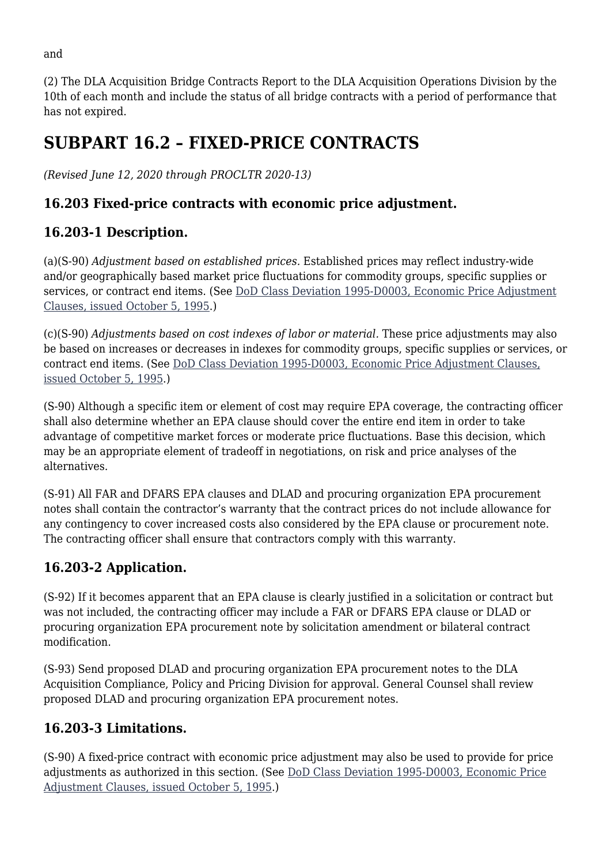(2) The DLA Acquisition Bridge Contracts Report to the DLA Acquisition Operations Division by the 10th of each month and include the status of all bridge contracts with a period of performance that has not expired.

# **SUBPART 16.2 – FIXED-PRICE CONTRACTS**

*(Revised June 12, 2020 through PROCLTR 2020-13)*

### **16.203 Fixed‑price contracts with economic price adjustment.**

### **16.203-1 Description.**

(a)(S-90) *Adjustment based on established prices.* Established prices may reflect industry‑wide and/or geographically based market price fluctuations for commodity groups, specific supplies or services, or contract end items. (See [DoD Class Deviation 1995-D0003, Economic Price Adjustment](https://dlamil.dps.mil/sites/Acquisition/Shared%20Documents/DoD%20Class%20Deviation%20-%20Economic%20Price%20Adjustment%20Clauses%20and%20DLAR%20Attachment%20October%205,%201995.pdf) [Clauses, issued October 5, 1995](https://dlamil.dps.mil/sites/Acquisition/Shared%20Documents/DoD%20Class%20Deviation%20-%20Economic%20Price%20Adjustment%20Clauses%20and%20DLAR%20Attachment%20October%205,%201995.pdf).)

(c)(S-90) *Adjustments based on cost indexes of labor or material.* These price adjustments may also be based on increases or decreases in indexes for commodity groups, specific supplies or services, or contract end items. (See [DoD Class Deviation 1995-D0003, Economic Price Adjustment Clauses,](https://dlamil.dps.mil/sites/Acquisition/Shared%20Documents/DoD%20Class%20Deviation%20-%20Economic%20Price%20Adjustment%20Clauses%20and%20DLAR%20Attachment%20October%205,%201995.pdf) [issued October 5, 1995.](https://dlamil.dps.mil/sites/Acquisition/Shared%20Documents/DoD%20Class%20Deviation%20-%20Economic%20Price%20Adjustment%20Clauses%20and%20DLAR%20Attachment%20October%205,%201995.pdf))

(S-90) Although a specific item or element of cost may require EPA coverage, the contracting officer shall also determine whether an EPA clause should cover the entire end item in order to take advantage of competitive market forces or moderate price fluctuations. Base this decision, which may be an appropriate element of tradeoff in negotiations, on risk and price analyses of the alternatives.

(S-91) All FAR and DFARS EPA clauses and DLAD and procuring organization EPA procurement notes shall contain the contractor's warranty that the contract prices do not include allowance for any contingency to cover increased costs also considered by the EPA clause or procurement note. The contracting officer shall ensure that contractors comply with this warranty.

### **16.203-2 Application.**

(S-92) If it becomes apparent that an EPA clause is clearly justified in a solicitation or contract but was not included, the contracting officer may include a FAR or DFARS EPA clause or DLAD or procuring organization EPA procurement note by solicitation amendment or bilateral contract modification.

(S-93) Send proposed DLAD and procuring organization EPA procurement notes to the DLA Acquisition Compliance, Policy and Pricing Division for approval. General Counsel shall review proposed DLAD and procuring organization EPA procurement notes.

### **16.203-3 Limitations.**

(S-90) A fixed-price contract with economic price adjustment may also be used to provide for price adjustments as authorized in this section. (See [DoD Class Deviation 1995-D0003, Economic Price](https://dlamil.dps.mil/sites/Acquisition/Shared%20Documents/DoD%20Class%20Deviation%20-%20Economic%20Price%20Adjustment%20Clauses%20and%20DLAR%20Attachment%20October%205,%201995.pdf) [Adjustment Clauses, issued October 5, 1995.](https://dlamil.dps.mil/sites/Acquisition/Shared%20Documents/DoD%20Class%20Deviation%20-%20Economic%20Price%20Adjustment%20Clauses%20and%20DLAR%20Attachment%20October%205,%201995.pdf))

and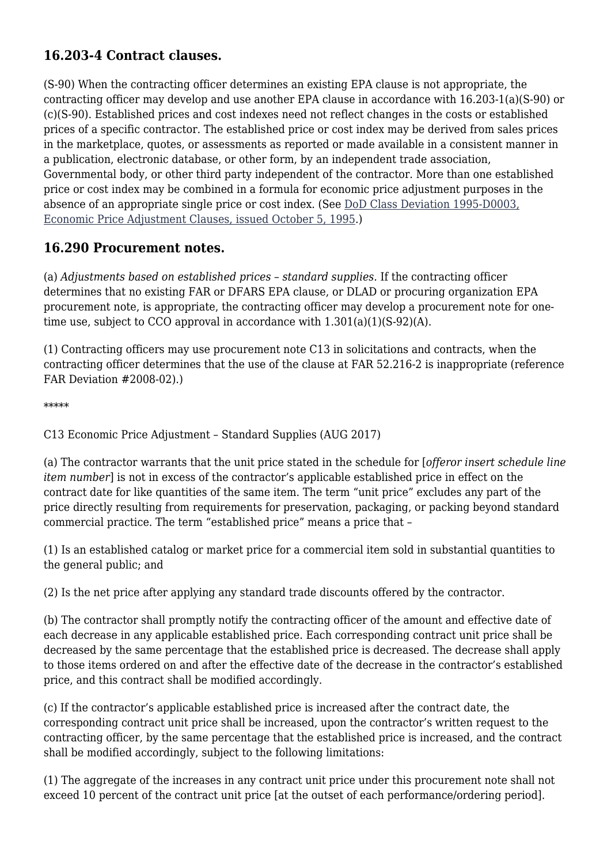### **16.203-4 Contract clauses.**

(S-90) When the contracting officer determines an existing EPA clause is not appropriate, the contracting officer may develop and use another EPA clause in accordance with 16.203-1(a)(S-90) or (c)(S-90). Established prices and cost indexes need not reflect changes in the costs or established prices of a specific contractor. The established price or cost index may be derived from sales prices in the marketplace, quotes, or assessments as reported or made available in a consistent manner in a publication, electronic database, or other form, by an independent trade association, Governmental body, or other third party independent of the contractor. More than one established price or cost index may be combined in a formula for economic price adjustment purposes in the absence of an appropriate single price or cost index. (See [DoD Class Deviation 1995-D0003,](https://dlamil.dps.mil/sites/Acquisition/Shared%20Documents/DoD%20Class%20Deviation%20-%20Economic%20Price%20Adjustment%20Clauses%20and%20DLAR%20Attachment%20October%205,%201995.pdf) [Economic Price Adjustment Clauses, issued October 5, 1995](https://dlamil.dps.mil/sites/Acquisition/Shared%20Documents/DoD%20Class%20Deviation%20-%20Economic%20Price%20Adjustment%20Clauses%20and%20DLAR%20Attachment%20October%205,%201995.pdf).)

### **16.290 Procurement notes.**

(a) *Adjustments based on established prices – standard supplies.* If the contracting officer determines that no existing FAR or DFARS EPA clause, or DLAD or procuring organization EPA procurement note, is appropriate, the contracting officer may develop a procurement note for onetime use, subject to CCO approval in accordance with  $1.301(a)(1)(S-92)(A)$ .

(1) Contracting officers may use procurement note C13 in solicitations and contracts, when the contracting officer determines that the use of the clause at FAR 52.216-2 is inappropriate (reference FAR Deviation #2008-02).)

\*\*\*\*\*

C13 Economic Price Adjustment – Standard Supplies (AUG 2017)

(a) The contractor warrants that the unit price stated in the schedule for [*offeror insert schedule line item number*] is not in excess of the contractor's applicable established price in effect on the contract date for like quantities of the same item. The term "unit price" excludes any part of the price directly resulting from requirements for preservation, packaging, or packing beyond standard commercial practice. The term "established price" means a price that –

(1) Is an established catalog or market price for a commercial item sold in substantial quantities to the general public; and

(2) Is the net price after applying any standard trade discounts offered by the contractor.

(b) The contractor shall promptly notify the contracting officer of the amount and effective date of each decrease in any applicable established price. Each corresponding contract unit price shall be decreased by the same percentage that the established price is decreased. The decrease shall apply to those items ordered on and after the effective date of the decrease in the contractor's established price, and this contract shall be modified accordingly.

(c) If the contractor's applicable established price is increased after the contract date, the corresponding contract unit price shall be increased, upon the contractor's written request to the contracting officer, by the same percentage that the established price is increased, and the contract shall be modified accordingly, subject to the following limitations:

(1) The aggregate of the increases in any contract unit price under this procurement note shall not exceed 10 percent of the contract unit price [at the outset of each performance/ordering period].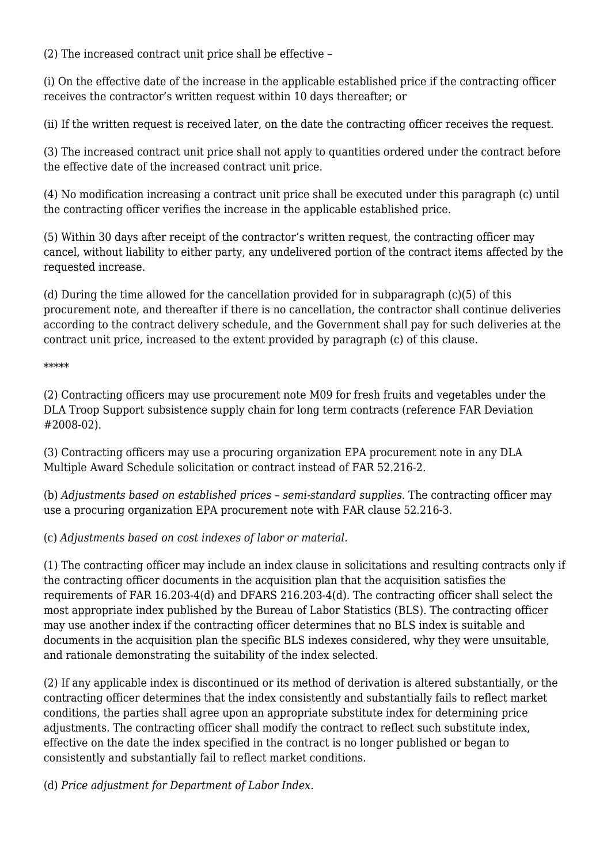(2) The increased contract unit price shall be effective –

(i) On the effective date of the increase in the applicable established price if the contracting officer receives the contractor's written request within 10 days thereafter; or

(ii) If the written request is received later, on the date the contracting officer receives the request.

(3) The increased contract unit price shall not apply to quantities ordered under the contract before the effective date of the increased contract unit price.

(4) No modification increasing a contract unit price shall be executed under this paragraph (c) until the contracting officer verifies the increase in the applicable established price.

(5) Within 30 days after receipt of the contractor's written request, the contracting officer may cancel, without liability to either party, any undelivered portion of the contract items affected by the requested increase.

(d) During the time allowed for the cancellation provided for in subparagraph (c)(5) of this procurement note, and thereafter if there is no cancellation, the contractor shall continue deliveries according to the contract delivery schedule, and the Government shall pay for such deliveries at the contract unit price, increased to the extent provided by paragraph (c) of this clause.

\*\*\*\*\*

(2) Contracting officers may use procurement note M09 for fresh fruits and vegetables under the DLA Troop Support subsistence supply chain for long term contracts (reference FAR Deviation #2008-02).

(3) Contracting officers may use a procuring organization EPA procurement note in any DLA Multiple Award Schedule solicitation or contract instead of FAR 52.216-2.

(b) *Adjustments based on established prices – semi-standard supplies.* The contracting officer may use a procuring organization EPA procurement note with FAR clause 52.216-3.

(c) *Adjustments based on cost indexes of labor or material.*

(1) The contracting officer may include an index clause in solicitations and resulting contracts only if the contracting officer documents in the acquisition plan that the acquisition satisfies the requirements of FAR 16.203-4(d) and DFARS 216.203-4(d). The contracting officer shall select the most appropriate index published by the Bureau of Labor Statistics (BLS). The contracting officer may use another index if the contracting officer determines that no BLS index is suitable and documents in the acquisition plan the specific BLS indexes considered, why they were unsuitable, and rationale demonstrating the suitability of the index selected.

(2) If any applicable index is discontinued or its method of derivation is altered substantially, or the contracting officer determines that the index consistently and substantially fails to reflect market conditions, the parties shall agree upon an appropriate substitute index for determining price adjustments. The contracting officer shall modify the contract to reflect such substitute index, effective on the date the index specified in the contract is no longer published or began to consistently and substantially fail to reflect market conditions.

(d) *Price adjustment for Department of Labor Index.*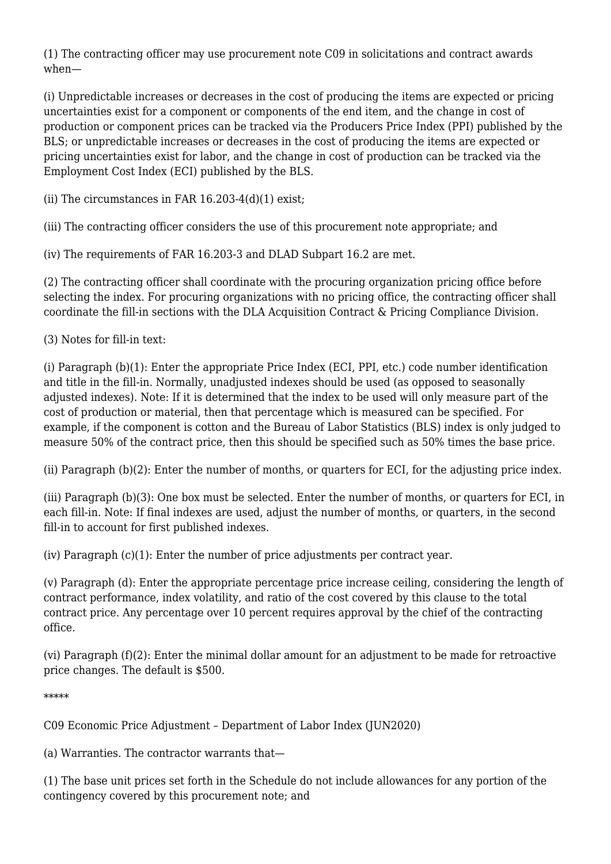(1) The contracting officer may use procurement note C09 in solicitations and contract awards when—

(i) Unpredictable increases or decreases in the cost of producing the items are expected or pricing uncertainties exist for a component or components of the end item, and the change in cost of production or component prices can be tracked via the Producers Price Index (PPI) published by the BLS; or unpredictable increases or decreases in the cost of producing the items are expected or pricing uncertainties exist for labor, and the change in cost of production can be tracked via the Employment Cost Index (ECI) published by the BLS.

(ii) The circumstances in FAR  $16.203-4(d)(1)$  exist;

(iii) The contracting officer considers the use of this procurement note appropriate; and

(iv) The requirements of FAR 16.203-3 and DLAD Subpart 16.2 are met.

(2) The contracting officer shall coordinate with the procuring organization pricing office before selecting the index. For procuring organizations with no pricing office, the contracting officer shall coordinate the fill-in sections with the DLA Acquisition Contract & Pricing Compliance Division.

(3) Notes for fill-in text:

(i) Paragraph (b)(1): Enter the appropriate Price Index (ECI, PPI, etc.) code number identification and title in the fill-in. Normally, unadjusted indexes should be used (as opposed to seasonally adjusted indexes). Note: If it is determined that the index to be used will only measure part of the cost of production or material, then that percentage which is measured can be specified. For example, if the component is cotton and the Bureau of Labor Statistics (BLS) index is only judged to measure 50% of the contract price, then this should be specified such as 50% times the base price.

(ii) Paragraph (b)(2): Enter the number of months, or quarters for ECI, for the adjusting price index.

(iii) Paragraph (b)(3): One box must be selected. Enter the number of months, or quarters for ECI, in each fill-in. Note: If final indexes are used, adjust the number of months, or quarters, in the second fill-in to account for first published indexes.

(iv) Paragraph (c)(1): Enter the number of price adjustments per contract year.

(v) Paragraph (d): Enter the appropriate percentage price increase ceiling, considering the length of contract performance, index volatility, and ratio of the cost covered by this clause to the total contract price. Any percentage over 10 percent requires approval by the chief of the contracting office.

(vi) Paragraph (f)(2): Enter the minimal dollar amount for an adjustment to be made for retroactive price changes. The default is \$500.

\*\*\*\*\*

C09 Economic Price Adjustment – Department of Labor Index (JUN2020)

(a) Warranties. The contractor warrants that—

(1) The base unit prices set forth in the Schedule do not include allowances for any portion of the contingency covered by this procurement note; and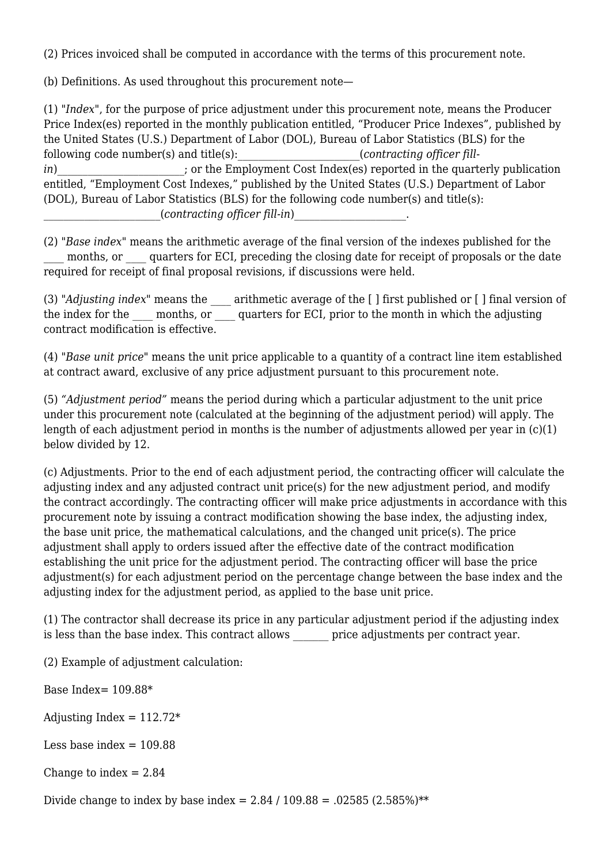(2) Prices invoiced shall be computed in accordance with the terms of this procurement note.

(b) Definitions. As used throughout this procurement note—

(1) *"Index"*, for the purpose of price adjustment under this procurement note, means the Producer Price Index(es) reported in the monthly publication entitled, "Producer Price Indexes", published by the United States (U.S.) Department of Labor (DOL), Bureau of Labor Statistics (BLS) for the following code number(s) and title(s):  $(contracting \; of \; fi \; l\; -1)$ *in*) cor the Employment Cost Index(es) reported in the quarterly publication entitled, "Employment Cost Indexes," published by the United States (U.S.) Department of Labor (DOL), Bureau of Labor Statistics (BLS) for the following code number(s) and title(s): \_\_\_\_\_\_\_\_\_\_\_\_\_\_\_\_\_\_\_\_\_\_\_(*contracting officer fill-in*)\_\_\_\_\_\_\_\_\_\_\_\_\_\_\_\_\_\_\_\_\_\_.

(2) *"Base index"* means the arithmetic average of the final version of the indexes published for the months, or quarters for ECI, preceding the closing date for receipt of proposals or the date required for receipt of final proposal revisions, if discussions were held.

(3) *"Adjusting index"* means the \_\_\_\_ arithmetic average of the [ ] first published or [ ] final version of the index for the \_\_\_\_\_ months, or \_\_\_\_\_ quarters for ECI, prior to the month in which the adjusting contract modification is effective.

(4) *"Base unit price"* means the unit price applicable to a quantity of a contract line item established at contract award, exclusive of any price adjustment pursuant to this procurement note.

(5) *"Adjustment period"* means the period during which a particular adjustment to the unit price under this procurement note (calculated at the beginning of the adjustment period) will apply. The length of each adjustment period in months is the number of adjustments allowed per year in (c)(1) below divided by 12.

(c) Adjustments. Prior to the end of each adjustment period, the contracting officer will calculate the adjusting index and any adjusted contract unit price(s) for the new adjustment period, and modify the contract accordingly. The contracting officer will make price adjustments in accordance with this procurement note by issuing a contract modification showing the base index, the adjusting index, the base unit price, the mathematical calculations, and the changed unit price(s). The price adjustment shall apply to orders issued after the effective date of the contract modification establishing the unit price for the adjustment period. The contracting officer will base the price adjustment(s) for each adjustment period on the percentage change between the base index and the adjusting index for the adjustment period, as applied to the base unit price.

(1) The contractor shall decrease its price in any particular adjustment period if the adjusting index is less than the base index. This contract allows entirely price adjustments per contract year.

(2) Example of adjustment calculation:

Base Index=  $109.88*$ 

Adjusting Index =  $112.72*$ 

Less base index  $= 109.88$ 

Change to index  $= 2.84$ 

Divide change to index by base index =  $2.84 / 109.88 = .02585 (2.585%)$ \*\*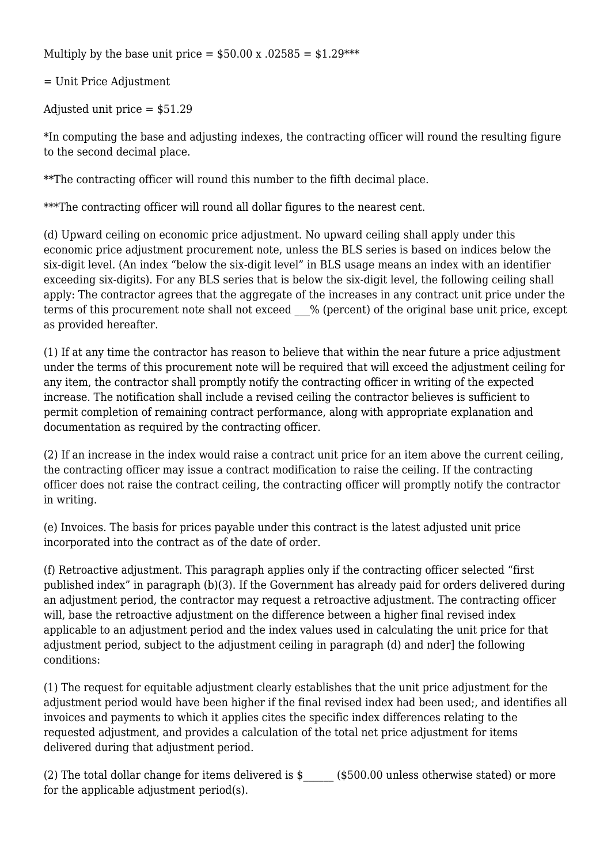Multiply by the base unit price =  $$50.00 \times 0.02585 = $1.29***$ 

= Unit Price Adjustment

Adjusted unit price = \$51.29

\*In computing the base and adjusting indexes, the contracting officer will round the resulting figure to the second decimal place.

\*\*The contracting officer will round this number to the fifth decimal place.

\*\*\*The contracting officer will round all dollar figures to the nearest cent.

(d) Upward ceiling on economic price adjustment. No upward ceiling shall apply under this economic price adjustment procurement note, unless the BLS series is based on indices below the six-digit level. (An index "below the six-digit level" in BLS usage means an index with an identifier exceeding six-digits). For any BLS series that is below the six-digit level, the following ceiling shall apply: The contractor agrees that the aggregate of the increases in any contract unit price under the terms of this procurement note shall not exceed  $\%$  (percent) of the original base unit price, except as provided hereafter.

(1) If at any time the contractor has reason to believe that within the near future a price adjustment under the terms of this procurement note will be required that will exceed the adjustment ceiling for any item, the contractor shall promptly notify the contracting officer in writing of the expected increase. The notification shall include a revised ceiling the contractor believes is sufficient to permit completion of remaining contract performance, along with appropriate explanation and documentation as required by the contracting officer.

(2) If an increase in the index would raise a contract unit price for an item above the current ceiling, the contracting officer may issue a contract modification to raise the ceiling. If the contracting officer does not raise the contract ceiling, the contracting officer will promptly notify the contractor in writing.

(e) Invoices. The basis for prices payable under this contract is the latest adjusted unit price incorporated into the contract as of the date of order.

(f) Retroactive adjustment. This paragraph applies only if the contracting officer selected "first published index" in paragraph (b)(3). If the Government has already paid for orders delivered during an adjustment period, the contractor may request a retroactive adjustment. The contracting officer will, base the retroactive adjustment on the difference between a higher final revised index applicable to an adjustment period and the index values used in calculating the unit price for that adjustment period, subject to the adjustment ceiling in paragraph (d) and nder] the following conditions:

(1) The request for equitable adjustment clearly establishes that the unit price adjustment for the adjustment period would have been higher if the final revised index had been used;, and identifies all invoices and payments to which it applies cites the specific index differences relating to the requested adjustment, and provides a calculation of the total net price adjustment for items delivered during that adjustment period.

(2) The total dollar change for items delivered is  $\$  (\$500.00 unless otherwise stated) or more for the applicable adjustment period(s).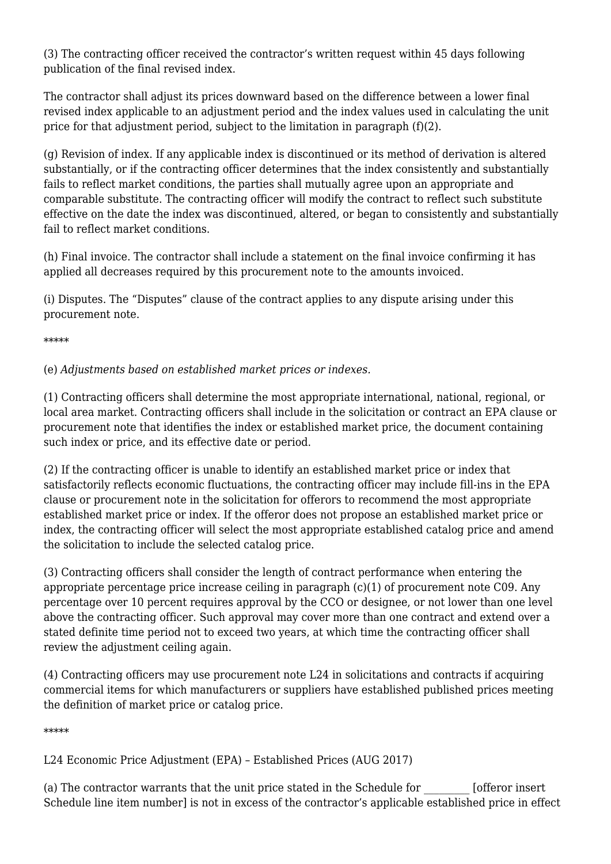(3) The contracting officer received the contractor's written request within 45 days following publication of the final revised index.

The contractor shall adjust its prices downward based on the difference between a lower final revised index applicable to an adjustment period and the index values used in calculating the unit price for that adjustment period, subject to the limitation in paragraph (f)(2).

(g) Revision of index. If any applicable index is discontinued or its method of derivation is altered substantially, or if the contracting officer determines that the index consistently and substantially fails to reflect market conditions, the parties shall mutually agree upon an appropriate and comparable substitute. The contracting officer will modify the contract to reflect such substitute effective on the date the index was discontinued, altered, or began to consistently and substantially fail to reflect market conditions.

(h) Final invoice. The contractor shall include a statement on the final invoice confirming it has applied all decreases required by this procurement note to the amounts invoiced.

(i) Disputes. The "Disputes" clause of the contract applies to any dispute arising under this procurement note.

#### \*\*\*\*\*

(e) *Adjustments based on established market prices or indexes.*

(1) Contracting officers shall determine the most appropriate international, national, regional, or local area market. Contracting officers shall include in the solicitation or contract an EPA clause or procurement note that identifies the index or established market price, the document containing such index or price, and its effective date or period.

(2) If the contracting officer is unable to identify an established market price or index that satisfactorily reflects economic fluctuations, the contracting officer may include fill-ins in the EPA clause or procurement note in the solicitation for offerors to recommend the most appropriate established market price or index. If the offeror does not propose an established market price or index, the contracting officer will select the most appropriate established catalog price and amend the solicitation to include the selected catalog price.

(3) Contracting officers shall consider the length of contract performance when entering the appropriate percentage price increase ceiling in paragraph (c)(1) of procurement note C09. Any percentage over 10 percent requires approval by the CCO or designee, or not lower than one level above the contracting officer. Such approval may cover more than one contract and extend over a stated definite time period not to exceed two years, at which time the contracting officer shall review the adjustment ceiling again.

(4) Contracting officers may use procurement note L24 in solicitations and contracts if acquiring commercial items for which manufacturers or suppliers have established published prices meeting the definition of market price or catalog price.

\*\*\*\*\*

L24 Economic Price Adjustment (EPA) – Established Prices (AUG 2017)

(a) The contractor warrants that the unit price stated in the Schedule for [offeror insert Schedule line item number] is not in excess of the contractor's applicable established price in effect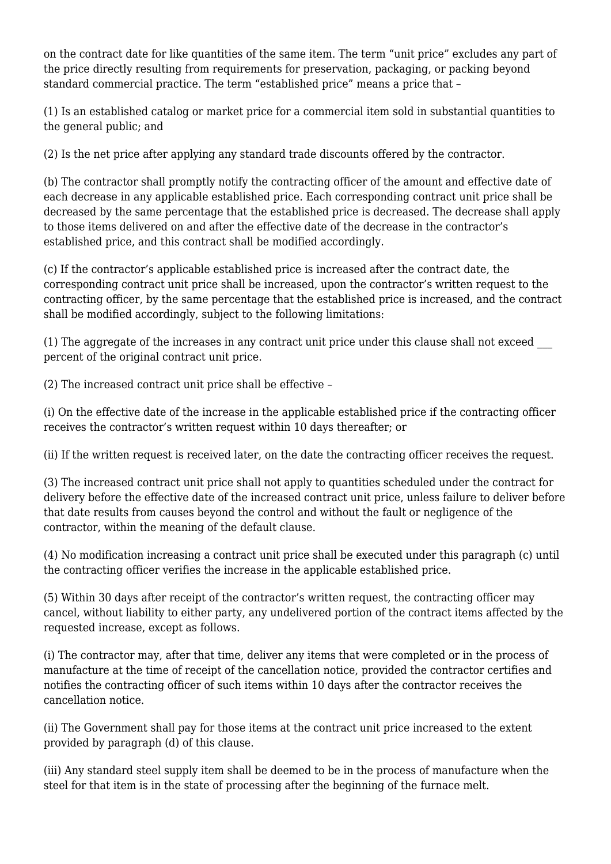on the contract date for like quantities of the same item. The term "unit price" excludes any part of the price directly resulting from requirements for preservation, packaging, or packing beyond standard commercial practice. The term "established price" means a price that –

(1) Is an established catalog or market price for a commercial item sold in substantial quantities to the general public; and

(2) Is the net price after applying any standard trade discounts offered by the contractor.

(b) The contractor shall promptly notify the contracting officer of the amount and effective date of each decrease in any applicable established price. Each corresponding contract unit price shall be decreased by the same percentage that the established price is decreased. The decrease shall apply to those items delivered on and after the effective date of the decrease in the contractor's established price, and this contract shall be modified accordingly.

(c) If the contractor's applicable established price is increased after the contract date, the corresponding contract unit price shall be increased, upon the contractor's written request to the contracting officer, by the same percentage that the established price is increased, and the contract shall be modified accordingly, subject to the following limitations:

(1) The aggregate of the increases in any contract unit price under this clause shall not exceed \_\_\_ percent of the original contract unit price.

(2) The increased contract unit price shall be effective –

(i) On the effective date of the increase in the applicable established price if the contracting officer receives the contractor's written request within 10 days thereafter; or

(ii) If the written request is received later, on the date the contracting officer receives the request.

(3) The increased contract unit price shall not apply to quantities scheduled under the contract for delivery before the effective date of the increased contract unit price, unless failure to deliver before that date results from causes beyond the control and without the fault or negligence of the contractor, within the meaning of the default clause.

(4) No modification increasing a contract unit price shall be executed under this paragraph (c) until the contracting officer verifies the increase in the applicable established price.

(5) Within 30 days after receipt of the contractor's written request, the contracting officer may cancel, without liability to either party, any undelivered portion of the contract items affected by the requested increase, except as follows.

(i) The contractor may, after that time, deliver any items that were completed or in the process of manufacture at the time of receipt of the cancellation notice, provided the contractor certifies and notifies the contracting officer of such items within 10 days after the contractor receives the cancellation notice.

(ii) The Government shall pay for those items at the contract unit price increased to the extent provided by paragraph (d) of this clause.

(iii) Any standard steel supply item shall be deemed to be in the process of manufacture when the steel for that item is in the state of processing after the beginning of the furnace melt.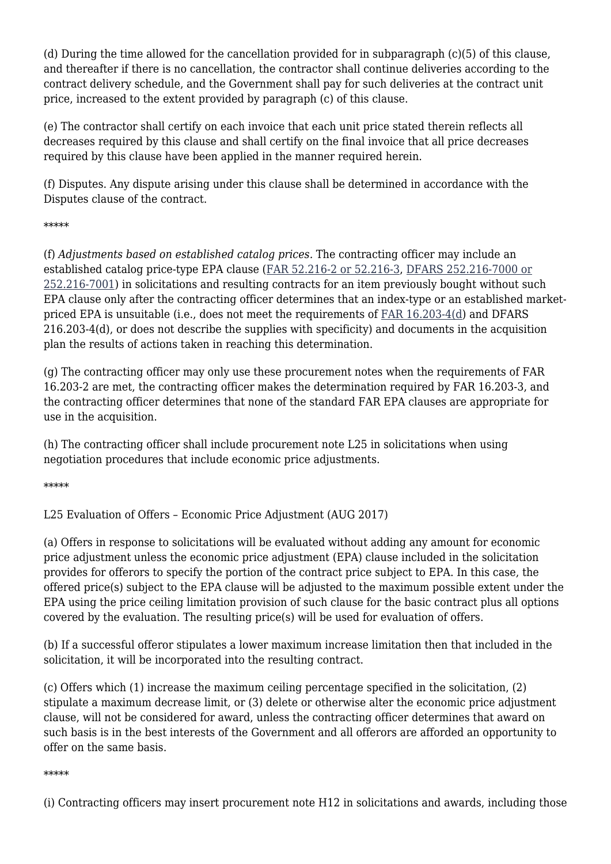(d) During the time allowed for the cancellation provided for in subparagraph (c)(5) of this clause, and thereafter if there is no cancellation, the contractor shall continue deliveries according to the contract delivery schedule, and the Government shall pay for such deliveries at the contract unit price, increased to the extent provided by paragraph (c) of this clause.

(e) The contractor shall certify on each invoice that each unit price stated therein reflects all decreases required by this clause and shall certify on the final invoice that all price decreases required by this clause have been applied in the manner required herein.

(f) Disputes. Any dispute arising under this clause shall be determined in accordance with the Disputes clause of the contract.

#### \*\*\*\*\*

(f) *Adjustments based on established catalog prices.* The contracting officer may include an established catalog price-type EPA clause ([FAR 52.216-2 or 52.216-3,](https://www.acquisition.gov/%5Brp:link:far_dita-part-52%5D#P371_55149) [DFARS 252.216-7000 or](http://farsite.hill.af.mil/reghtml/regs/far2afmcfars/fardfars/dfars/dfars252_215.htm#P218_13677) [252.216-7001\)](http://farsite.hill.af.mil/reghtml/regs/far2afmcfars/fardfars/dfars/dfars252_215.htm#P218_13677) in solicitations and resulting contracts for an item previously bought without such EPA clause only after the contracting officer determines that an index-type or an established marketpriced EPA is unsuitable (i.e., does not meet the requirements of [FAR 16.203-4\(d](https://www.acquisition.gov/%5Brp:link:far_dita-part-16%5D#P67_13268)) and DFARS 216.203-4(d), or does not describe the supplies with specificity) and documents in the acquisition plan the results of actions taken in reaching this determination.

(g) The contracting officer may only use these procurement notes when the requirements of FAR 16.203-2 are met, the contracting officer makes the determination required by FAR 16.203-3, and the contracting officer determines that none of the standard FAR EPA clauses are appropriate for use in the acquisition.

(h) The contracting officer shall include procurement note L25 in solicitations when using negotiation procedures that include economic price adjustments.

\*\*\*\*\*

L25 Evaluation of Offers – Economic Price Adjustment (AUG 2017)

(a) Offers in response to solicitations will be evaluated without adding any amount for economic price adjustment unless the economic price adjustment (EPA) clause included in the solicitation provides for offerors to specify the portion of the contract price subject to EPA. In this case, the offered price(s) subject to the EPA clause will be adjusted to the maximum possible extent under the EPA using the price ceiling limitation provision of such clause for the basic contract plus all options covered by the evaluation. The resulting price(s) will be used for evaluation of offers.

(b) If a successful offeror stipulates a lower maximum increase limitation then that included in the solicitation, it will be incorporated into the resulting contract.

(c) Offers which (1) increase the maximum ceiling percentage specified in the solicitation, (2) stipulate a maximum decrease limit, or (3) delete or otherwise alter the economic price adjustment clause, will not be considered for award, unless the contracting officer determines that award on such basis is in the best interests of the Government and all offerors are afforded an opportunity to offer on the same basis.

#### \*\*\*\*\*

(i) Contracting officers may insert procurement note H12 in solicitations and awards, including those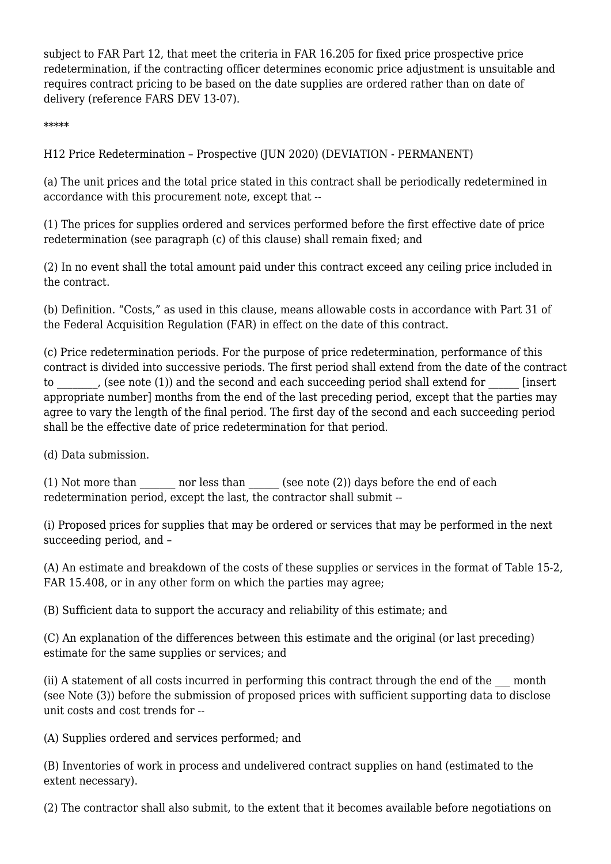subject to FAR Part 12, that meet the criteria in FAR 16.205 for fixed price prospective price redetermination, if the contracting officer determines economic price adjustment is unsuitable and requires contract pricing to be based on the date supplies are ordered rather than on date of delivery (reference FARS DEV 13-07).

\*\*\*\*\*

H12 Price Redetermination – Prospective (JUN 2020) (DEVIATION - PERMANENT)

(a) The unit prices and the total price stated in this contract shall be periodically redetermined in accordance with this procurement note, except that --

(1) The prices for supplies ordered and services performed before the first effective date of price redetermination (see paragraph (c) of this clause) shall remain fixed; and

(2) In no event shall the total amount paid under this contract exceed any ceiling price included in the contract.

(b) Definition. "Costs," as used in this clause, means allowable costs in accordance with Part 31 of the Federal Acquisition Regulation (FAR) in effect on the date of this contract.

(c) Price redetermination periods. For the purpose of price redetermination, performance of this contract is divided into successive periods. The first period shall extend from the date of the contract to to the second and each succeeding period shall extend for finsert appropriate number] months from the end of the last preceding period, except that the parties may agree to vary the length of the final period. The first day of the second and each succeeding period shall be the effective date of price redetermination for that period.

(d) Data submission.

(1) Not more than  $\qquad \qquad$  nor less than  $\qquad$  (see note (2)) days before the end of each redetermination period, except the last, the contractor shall submit --

(i) Proposed prices for supplies that may be ordered or services that may be performed in the next succeeding period, and –

(A) An estimate and breakdown of the costs of these supplies or services in the format of Table 15-2, FAR 15.408, or in any other form on which the parties may agree;

(B) Sufficient data to support the accuracy and reliability of this estimate; and

(C) An explanation of the differences between this estimate and the original (or last preceding) estimate for the same supplies or services; and

(ii) A statement of all costs incurred in performing this contract through the end of the \_\_\_ month (see Note (3)) before the submission of proposed prices with sufficient supporting data to disclose unit costs and cost trends for --

(A) Supplies ordered and services performed; and

(B) Inventories of work in process and undelivered contract supplies on hand (estimated to the extent necessary).

(2) The contractor shall also submit, to the extent that it becomes available before negotiations on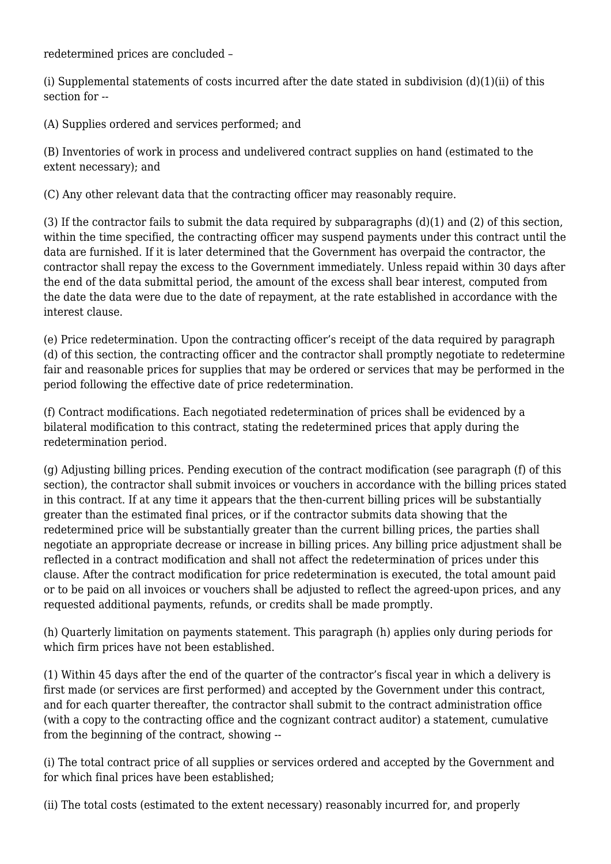redetermined prices are concluded –

(i) Supplemental statements of costs incurred after the date stated in subdivision  $(d)(1)(ii)$  of this section for --

(A) Supplies ordered and services performed; and

(B) Inventories of work in process and undelivered contract supplies on hand (estimated to the extent necessary); and

(C) Any other relevant data that the contracting officer may reasonably require.

(3) If the contractor fails to submit the data required by subparagraphs (d)(1) and (2) of this section, within the time specified, the contracting officer may suspend payments under this contract until the data are furnished. If it is later determined that the Government has overpaid the contractor, the contractor shall repay the excess to the Government immediately. Unless repaid within 30 days after the end of the data submittal period, the amount of the excess shall bear interest, computed from the date the data were due to the date of repayment, at the rate established in accordance with the interest clause.

(e) Price redetermination. Upon the contracting officer's receipt of the data required by paragraph (d) of this section, the contracting officer and the contractor shall promptly negotiate to redetermine fair and reasonable prices for supplies that may be ordered or services that may be performed in the period following the effective date of price redetermination.

(f) Contract modifications. Each negotiated redetermination of prices shall be evidenced by a bilateral modification to this contract, stating the redetermined prices that apply during the redetermination period.

(g) Adjusting billing prices. Pending execution of the contract modification (see paragraph (f) of this section), the contractor shall submit invoices or vouchers in accordance with the billing prices stated in this contract. If at any time it appears that the then-current billing prices will be substantially greater than the estimated final prices, or if the contractor submits data showing that the redetermined price will be substantially greater than the current billing prices, the parties shall negotiate an appropriate decrease or increase in billing prices. Any billing price adjustment shall be reflected in a contract modification and shall not affect the redetermination of prices under this clause. After the contract modification for price redetermination is executed, the total amount paid or to be paid on all invoices or vouchers shall be adjusted to reflect the agreed-upon prices, and any requested additional payments, refunds, or credits shall be made promptly.

(h) Quarterly limitation on payments statement. This paragraph (h) applies only during periods for which firm prices have not been established.

(1) Within 45 days after the end of the quarter of the contractor's fiscal year in which a delivery is first made (or services are first performed) and accepted by the Government under this contract, and for each quarter thereafter, the contractor shall submit to the contract administration office (with a copy to the contracting office and the cognizant contract auditor) a statement, cumulative from the beginning of the contract, showing --

(i) The total contract price of all supplies or services ordered and accepted by the Government and for which final prices have been established;

(ii) The total costs (estimated to the extent necessary) reasonably incurred for, and properly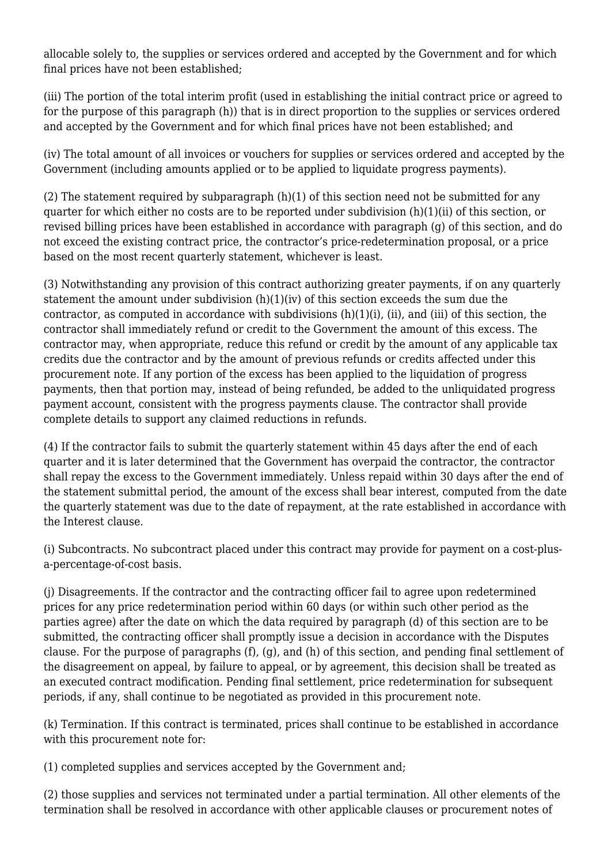allocable solely to, the supplies or services ordered and accepted by the Government and for which final prices have not been established;

(iii) The portion of the total interim profit (used in establishing the initial contract price or agreed to for the purpose of this paragraph (h)) that is in direct proportion to the supplies or services ordered and accepted by the Government and for which final prices have not been established; and

(iv) The total amount of all invoices or vouchers for supplies or services ordered and accepted by the Government (including amounts applied or to be applied to liquidate progress payments).

(2) The statement required by subparagraph (h)(1) of this section need not be submitted for any quarter for which either no costs are to be reported under subdivision (h)(1)(ii) of this section, or revised billing prices have been established in accordance with paragraph (g) of this section, and do not exceed the existing contract price, the contractor's price-redetermination proposal, or a price based on the most recent quarterly statement, whichever is least.

(3) Notwithstanding any provision of this contract authorizing greater payments, if on any quarterly statement the amount under subdivision (h)(1)(iv) of this section exceeds the sum due the contractor, as computed in accordance with subdivisions  $(h)(1)(i)$ ,  $(ii)$ , and  $(iii)$  of this section, the contractor shall immediately refund or credit to the Government the amount of this excess. The contractor may, when appropriate, reduce this refund or credit by the amount of any applicable tax credits due the contractor and by the amount of previous refunds or credits affected under this procurement note. If any portion of the excess has been applied to the liquidation of progress payments, then that portion may, instead of being refunded, be added to the unliquidated progress payment account, consistent with the progress payments clause. The contractor shall provide complete details to support any claimed reductions in refunds.

(4) If the contractor fails to submit the quarterly statement within 45 days after the end of each quarter and it is later determined that the Government has overpaid the contractor, the contractor shall repay the excess to the Government immediately. Unless repaid within 30 days after the end of the statement submittal period, the amount of the excess shall bear interest, computed from the date the quarterly statement was due to the date of repayment, at the rate established in accordance with the Interest clause.

(i) Subcontracts. No subcontract placed under this contract may provide for payment on a cost-plusa-percentage-of-cost basis.

(j) Disagreements. If the contractor and the contracting officer fail to agree upon redetermined prices for any price redetermination period within 60 days (or within such other period as the parties agree) after the date on which the data required by paragraph (d) of this section are to be submitted, the contracting officer shall promptly issue a decision in accordance with the Disputes clause. For the purpose of paragraphs (f), (g), and (h) of this section, and pending final settlement of the disagreement on appeal, by failure to appeal, or by agreement, this decision shall be treated as an executed contract modification. Pending final settlement, price redetermination for subsequent periods, if any, shall continue to be negotiated as provided in this procurement note.

(k) Termination. If this contract is terminated, prices shall continue to be established in accordance with this procurement note for:

(1) completed supplies and services accepted by the Government and;

(2) those supplies and services not terminated under a partial termination. All other elements of the termination shall be resolved in accordance with other applicable clauses or procurement notes of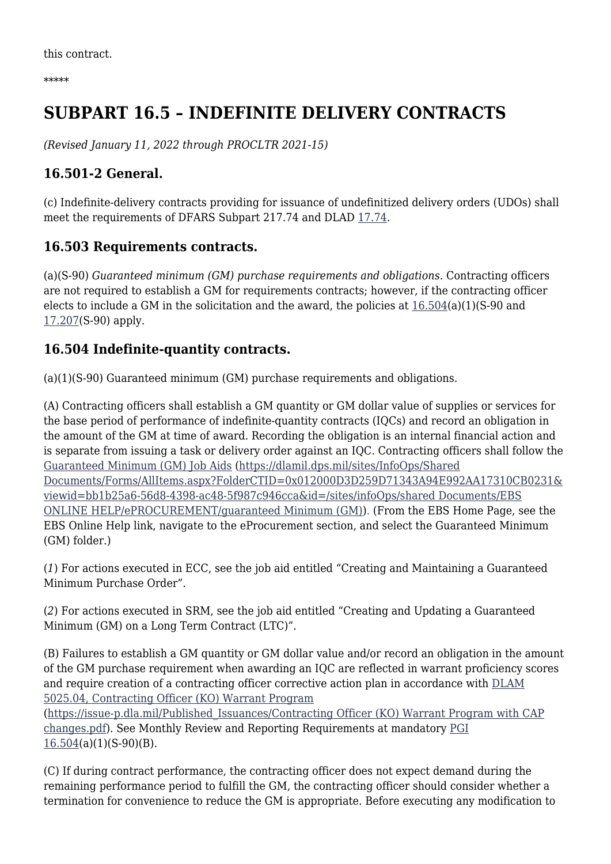\*\*\*\*\*

# **SUBPART 16.5 – INDEFINITE DELIVERY CONTRACTS**

*(Revised January 11, 2022 through PROCLTR 2021-15)*

### **16.501-2 General.**

(c) Indefinite-delivery contracts providing for issuance of undefinitized delivery orders (UDOs) shall meet the requirements of DFARS Subpart 2[17.74](https://www.acquisition.gov/%5Brp:link:dlad-part-17%5D#P17_74) and DLAD 17.74.

### **16.503 Requirements contracts.**

(a)(S-90) *Guaranteed minimum (GM) purchase requirements and obligations*. Contracting officers are not required to establish a GM for requirements contracts; however, if the contracting officer elects to include a GM in the solicitation and the award, the policies at [16.504](https://www.acquisition.gov/%5Brp:link:dlad-part-16%5D#P16_504)(a)(1)(S-90 and [17.207](https://www.acquisition.gov/%5Brp:link:dlad-part-17%5D#P17_207)(S-90) apply.

### **16.504 Indefinite-quantity contracts.**

(a)(1)(S-90) Guaranteed minimum (GM) purchase requirements and obligations.

(A) Contracting officers shall establish a GM quantity or GM dollar value of supplies or services for the base period of performance of indefinite-quantity contracts (IQCs) and record an obligation in the amount of the GM at time of award. Recording the obligation is an internal financial action and is separate from issuing a task or delivery order against an IQC. Contracting officers shall follow the [Guaranteed Minimum \(GM\) Job Aids](https://dlamil.dps.mil/sites/InfoOps/Shared%20Documents/Forms/AllItems.aspx?FolderCTID=0x012000D3D259D71343A94E992AA17310CB0231&viewid=bb1b25a6-56d8-4398-ac48-5f987c946cca&id=/sites/infoOps/shared%20Documents/EBS%20ONLINE%20HELP/ePROCUREMENT/guaranteed%20Minimum%20(GM)) [\(https://dlamil.dps.mil/sites/InfoOps/Shared](https://dlamil.dps.mil/sites/InfoOps/Shared%20Documents/Forms/AllItems.aspx?FolderCTID=0x012000D3D259D71343A94E992AA17310CB0231&viewid=bb1b25a6-56d8-4398-ac48-5f987c946cca&id=/sites/infoOps/shared%20Documents/EBS%20ONLINE%20HELP/ePROCUREMENT/guaranteed%20Minimum%20(GM)) [Documents/Forms/AllItems.aspx?FolderCTID=0x012000D3D259D71343A94E992AA17310CB0231&](https://dlamil.dps.mil/sites/InfoOps/Shared%20Documents/Forms/AllItems.aspx?FolderCTID=0x012000D3D259D71343A94E992AA17310CB0231&viewid=bb1b25a6-56d8-4398-ac48-5f987c946cca&id=/sites/infoOps/shared%20Documents/EBS%20ONLINE%20HELP/ePROCUREMENT/guaranteed%20Minimum%20(GM)) [viewid=bb1b25a6-56d8-4398-ac48-5f987c946cca&id=/sites/infoOps/shared Documents/EBS](https://dlamil.dps.mil/sites/InfoOps/Shared%20Documents/Forms/AllItems.aspx?FolderCTID=0x012000D3D259D71343A94E992AA17310CB0231&viewid=bb1b25a6-56d8-4398-ac48-5f987c946cca&id=/sites/infoOps/shared%20Documents/EBS%20ONLINE%20HELP/ePROCUREMENT/guaranteed%20Minimum%20(GM)) [ONLINE HELP/ePROCUREMENT/guaranteed Minimum \(GM\)\)](https://dlamil.dps.mil/sites/InfoOps/Shared%20Documents/Forms/AllItems.aspx?FolderCTID=0x012000D3D259D71343A94E992AA17310CB0231&viewid=bb1b25a6-56d8-4398-ac48-5f987c946cca&id=/sites/infoOps/shared%20Documents/EBS%20ONLINE%20HELP/ePROCUREMENT/guaranteed%20Minimum%20(GM)). (From the EBS Home Page, see the EBS Online Help link, navigate to the eProcurement section, and select the Guaranteed Minimum (GM) folder.)

(*1*) For actions executed in ECC, see the job aid entitled "Creating and Maintaining a Guaranteed Minimum Purchase Order".

(*2*) For actions executed in SRM, see the job aid entitled "Creating and Updating a Guaranteed Minimum (GM) on a Long Term Contract (LTC)".

(B) Failures to establish a GM quantity or GM dollar value and/or record an obligation in the amount of the GM purchase requirement when awarding an IQC are reflected in warrant proficiency scores and require creation of a contracting officer corrective action plan in accordance with [DLAM](https://issue-p.dla.mil/Published_Issuances/Contracting%20Officer%20(KO)%20Warrant%20Program%20with%20CAP%20changes.pdf) [5025.04, Contracting Officer \(KO\) Warrant Program](https://issue-p.dla.mil/Published_Issuances/Contracting%20Officer%20(KO)%20Warrant%20Program%20with%20CAP%20changes.pdf)

[\(https://issue-p.dla.mil/Published\\_Issuances/Contracting Officer \(KO\) Warrant Program with CAP](https://issue-p.dla.mil/Published_Issuances/Contracting%20Officer%20(KO)%20Warrant%20Program%20with%20CAP%20changes.pdf) [changes.pdf](https://issue-p.dla.mil/Published_Issuances/Contracting%20Officer%20(KO)%20Warrant%20Program%20with%20CAP%20changes.pdf)). See Monthly Review and Reporting Requirements at mandatory [PGI](#page--1-0) [16.504](#page--1-0)(a)(1)(S-90)(B).

(C) If during contract performance, the contracting officer does not expect demand during the remaining performance period to fulfill the GM, the contracting officer should consider whether a termination for convenience to reduce the GM is appropriate. Before executing any modification to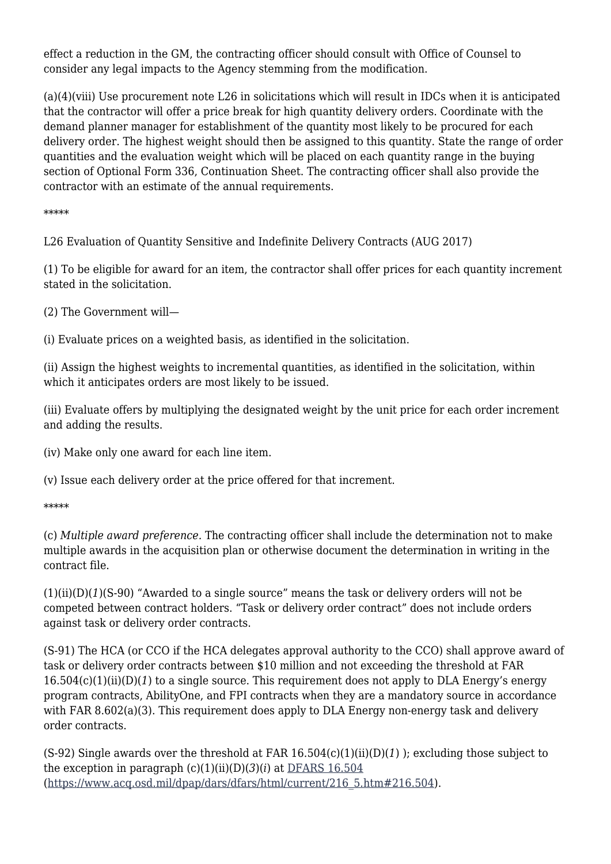effect a reduction in the GM, the contracting officer should consult with Office of Counsel to consider any legal impacts to the Agency stemming from the modification.

(a)(4)(viii) Use procurement note L26 in solicitations which will result in IDCs when it is anticipated that the contractor will offer a price break for high quantity delivery orders. Coordinate with the demand planner manager for establishment of the quantity most likely to be procured for each delivery order. The highest weight should then be assigned to this quantity. State the range of order quantities and the evaluation weight which will be placed on each quantity range in the buying section of Optional Form 336, Continuation Sheet. The contracting officer shall also provide the contractor with an estimate of the annual requirements.

\*\*\*\*\*

L26 Evaluation of Quantity Sensitive and Indefinite Delivery Contracts (AUG 2017)

(1) To be eligible for award for an item, the contractor shall offer prices for each quantity increment stated in the solicitation.

(2) The Government will—

(i) Evaluate prices on a weighted basis, as identified in the solicitation.

(ii) Assign the highest weights to incremental quantities, as identified in the solicitation, within which it anticipates orders are most likely to be issued.

(iii) Evaluate offers by multiplying the designated weight by the unit price for each order increment and adding the results.

(iv) Make only one award for each line item.

(v) Issue each delivery order at the price offered for that increment.

\*\*\*\*\*

(c) *Multiple award preference.* The contracting officer shall include the determination not to make multiple awards in the acquisition plan or otherwise document the determination in writing in the contract file.

 $(1)(ii)(D)(1)(S-90)$  "Awarded to a single source" means the task or delivery orders will not be competed between contract holders. "Task or delivery order contract" does not include orders against task or delivery order contracts.

(S-91) The HCA (or CCO if the HCA delegates approval authority to the CCO) shall approve award of task or delivery order contracts between \$10 million and not exceeding the threshold at FAR  $16.504(c)(1)(ii)(D)(1)$  to a single source. This requirement does not apply to DLA Energy's energy program contracts, AbilityOne, and FPI contracts when they are a mandatory source in accordance with FAR 8.602(a)(3). This requirement does apply to DLA Energy non-energy task and delivery order contracts.

(S-92) Single awards over the threshold at FAR 16.504(c)(1)(ii)(D)(*1*) ); excluding those subject to the exception in paragraph  $(c)(1)(ii)(D)(3)(i)$  at DFARS  $16.504$ [\(https://www.acq.osd.mil/dpap/dars/dfars/html/current/216\\_5.htm#216.504](https://www.acq.osd.mil/dpap/dars/dfars/html/current/216_5.htm#216.504)).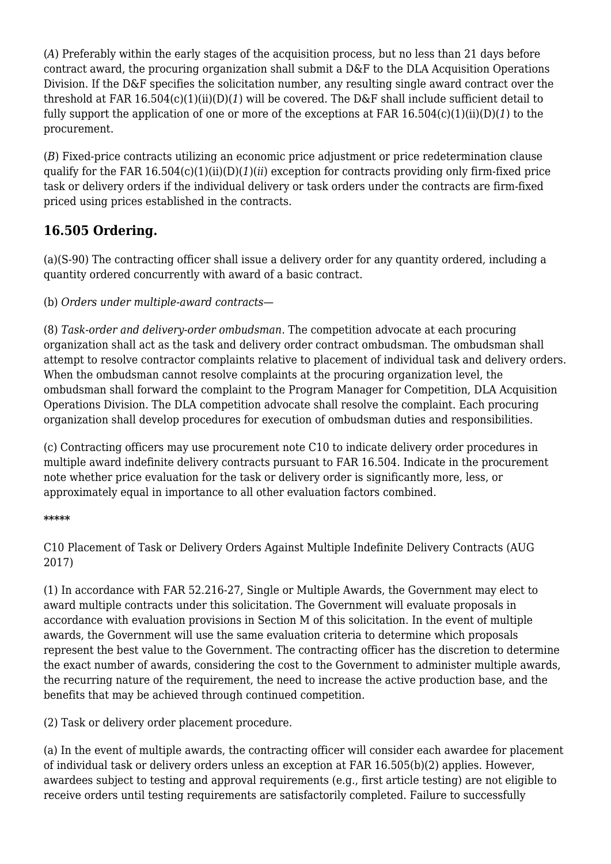(*A*) Preferably within the early stages of the acquisition process, but no less than 21 days before contract award, the procuring organization shall submit a D&F to the DLA Acquisition Operations Division. If the D&F specifies the solicitation number, any resulting single award contract over the threshold at FAR 16.504(c)(1)(ii)(D)(*1*) will be covered. The D&F shall include sufficient detail to fully support the application of one or more of the exceptions at FAR 16.504(c)(1)(ii)(D)(*1*) to the procurement.

(*B*) Fixed-price contracts utilizing an economic price adjustment or price redetermination clause qualify for the FAR 16.504(c)(1)(ii)(D)(*1*)(*ii*) exception for contracts providing only firm-fixed price task or delivery orders if the individual delivery or task orders under the contracts are firm-fixed priced using prices established in the contracts.

### **16.505 Ordering.**

(a)(S-90) The contracting officer shall issue a delivery order for any quantity ordered, including a quantity ordered concurrently with award of a basic contract.

(b) *Orders under multiple-award contracts—*

(8) *Task-order and delivery-order ombudsman*. The competition advocate at each procuring organization shall act as the task and delivery order contract ombudsman. The ombudsman shall attempt to resolve contractor complaints relative to placement of individual task and delivery orders. When the ombudsman cannot resolve complaints at the procuring organization level, the ombudsman shall forward the complaint to the Program Manager for Competition, DLA Acquisition Operations Division. The DLA competition advocate shall resolve the complaint. Each procuring organization shall develop procedures for execution of ombudsman duties and responsibilities.

(c) Contracting officers may use procurement note C10 to indicate delivery order procedures in multiple award indefinite delivery contracts pursuant to FAR 16.504. Indicate in the procurement note whether price evaluation for the task or delivery order is significantly more, less, or approximately equal in importance to all other evaluation factors combined.

#### **\*\*\*\*\***

C10 Placement of Task or Delivery Orders Against Multiple Indefinite Delivery Contracts (AUG 2017)

(1) In accordance with FAR 52.216-27, Single or Multiple Awards, the Government may elect to award multiple contracts under this solicitation. The Government will evaluate proposals in accordance with evaluation provisions in Section M of this solicitation. In the event of multiple awards, the Government will use the same evaluation criteria to determine which proposals represent the best value to the Government. The contracting officer has the discretion to determine the exact number of awards, considering the cost to the Government to administer multiple awards, the recurring nature of the requirement, the need to increase the active production base, and the benefits that may be achieved through continued competition.

(2) Task or delivery order placement procedure.

(a) In the event of multiple awards, the contracting officer will consider each awardee for placement of individual task or delivery orders unless an exception at FAR 16.505(b)(2) applies. However, awardees subject to testing and approval requirements (e.g., first article testing) are not eligible to receive orders until testing requirements are satisfactorily completed. Failure to successfully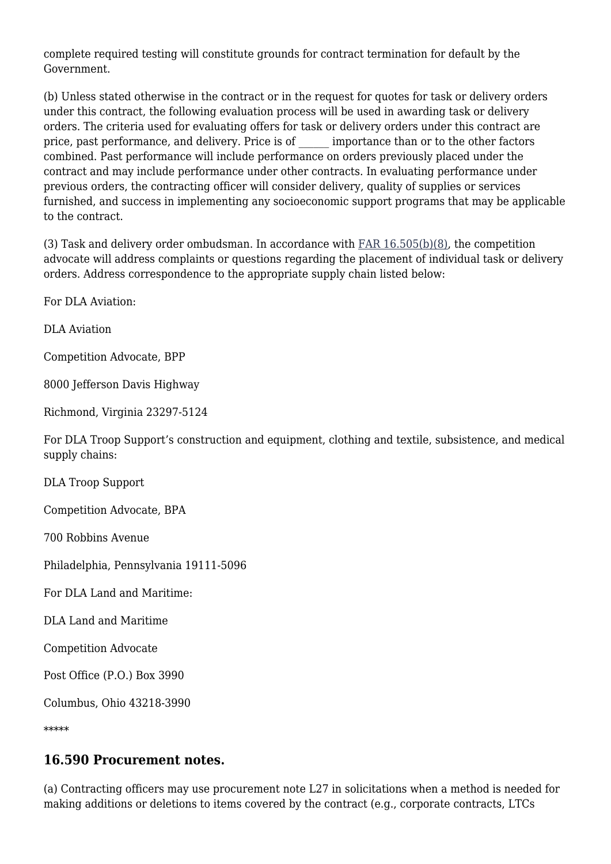complete required testing will constitute grounds for contract termination for default by the Government.

(b) Unless stated otherwise in the contract or in the request for quotes for task or delivery orders under this contract, the following evaluation process will be used in awarding task or delivery orders. The criteria used for evaluating offers for task or delivery orders under this contract are price, past performance, and delivery. Price is of importance than or to the other factors combined. Past performance will include performance on orders previously placed under the contract and may include performance under other contracts. In evaluating performance under previous orders, the contracting officer will consider delivery, quality of supplies or services furnished, and success in implementing any socioeconomic support programs that may be applicable to the contract.

(3) Task and delivery order ombudsman. In accordance with [FAR 16.505\(b\)\(8\)](https://www.acquisition.gov/%5Brp:link:far_dita-part-16%5D#P395_68844), the competition advocate will address complaints or questions regarding the placement of individual task or delivery orders. Address correspondence to the appropriate supply chain listed below:

For DLA Aviation:

DLA Aviation

Competition Advocate, BPP

8000 Jefferson Davis Highway

Richmond, Virginia 23297-5124

For DLA Troop Support's construction and equipment, clothing and textile, subsistence, and medical supply chains:

DLA Troop Support

Competition Advocate, BPA

700 Robbins Avenue

Philadelphia, Pennsylvania 19111-5096

For DLA Land and Maritime:

DLA Land and Maritime

Competition Advocate

Post Office (P.O.) Box 3990

Columbus, Ohio 43218-3990

\*\*\*\*\*

#### **16.590 Procurement notes.**

(a) Contracting officers may use procurement note L27 in solicitations when a method is needed for making additions or deletions to items covered by the contract (e.g., corporate contracts, LTCs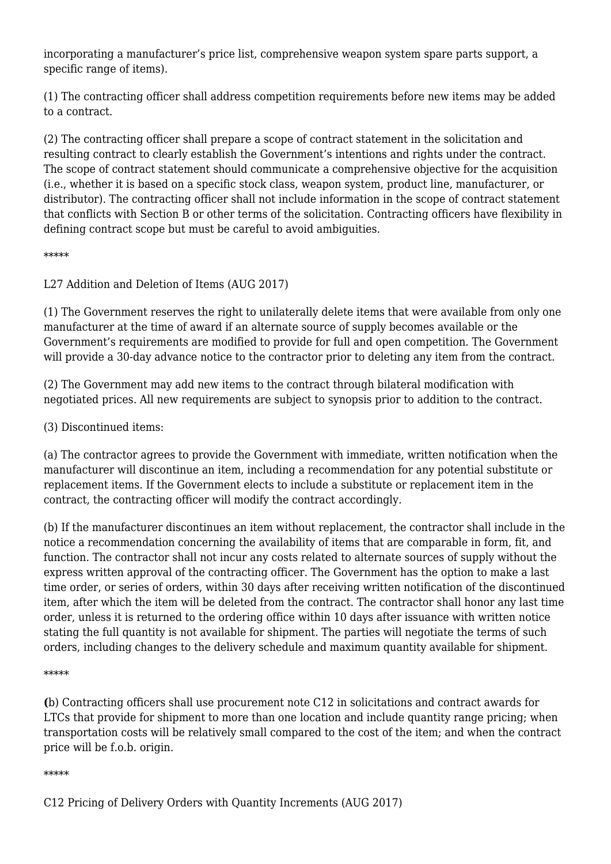incorporating a manufacturer's price list, comprehensive weapon system spare parts support, a specific range of items).

(1) The contracting officer shall address competition requirements before new items may be added to a contract.

(2) The contracting officer shall prepare a scope of contract statement in the solicitation and resulting contract to clearly establish the Government's intentions and rights under the contract. The scope of contract statement should communicate a comprehensive objective for the acquisition (i.e., whether it is based on a specific stock class, weapon system, product line, manufacturer, or distributor). The contracting officer shall not include information in the scope of contract statement that conflicts with Section B or other terms of the solicitation. Contracting officers have flexibility in defining contract scope but must be careful to avoid ambiguities.

#### \*\*\*\*\*

L27 Addition and Deletion of Items (AUG 2017)

(1) The Government reserves the right to unilaterally delete items that were available from only one manufacturer at the time of award if an alternate source of supply becomes available or the Government's requirements are modified to provide for full and open competition. The Government will provide a 30-day advance notice to the contractor prior to deleting any item from the contract.

(2) The Government may add new items to the contract through bilateral modification with negotiated prices. All new requirements are subject to synopsis prior to addition to the contract.

#### (3) Discontinued items:

(a) The contractor agrees to provide the Government with immediate, written notification when the manufacturer will discontinue an item, including a recommendation for any potential substitute or replacement items. If the Government elects to include a substitute or replacement item in the contract, the contracting officer will modify the contract accordingly.

(b) If the manufacturer discontinues an item without replacement, the contractor shall include in the notice a recommendation concerning the availability of items that are comparable in form, fit, and function. The contractor shall not incur any costs related to alternate sources of supply without the express written approval of the contracting officer. The Government has the option to make a last time order, or series of orders, within 30 days after receiving written notification of the discontinued item, after which the item will be deleted from the contract. The contractor shall honor any last time order, unless it is returned to the ordering office within 10 days after issuance with written notice stating the full quantity is not available for shipment. The parties will negotiate the terms of such orders, including changes to the delivery schedule and maximum quantity available for shipment.

#### \*\*\*\*\*

**(**b) Contracting officers shall use procurement note C12 in solicitations and contract awards for LTCs that provide for shipment to more than one location and include quantity range pricing; when transportation costs will be relatively small compared to the cost of the item; and when the contract price will be f.o.b. origin.

#### \*\*\*\*\*

C12 Pricing of Delivery Orders with Quantity Increments (AUG 2017)